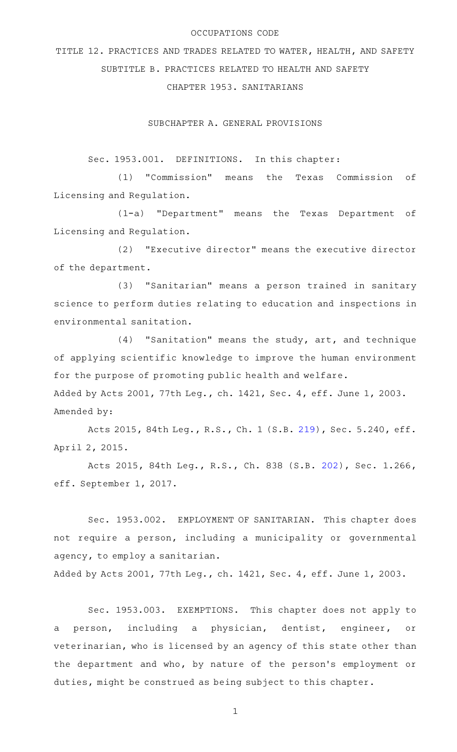## OCCUPATIONS CODE

TITLE 12. PRACTICES AND TRADES RELATED TO WATER, HEALTH, AND SAFETY SUBTITLE B. PRACTICES RELATED TO HEALTH AND SAFETY

CHAPTER 1953. SANITARIANS

SUBCHAPTER A. GENERAL PROVISIONS

Sec. 1953.001. DEFINITIONS. In this chapter:

(1) "Commission" means the Texas Commission of Licensing and Regulation.

(1-a) "Department" means the Texas Department of Licensing and Regulation.

(2) "Executive director" means the executive director of the department.

(3) "Sanitarian" means a person trained in sanitary science to perform duties relating to education and inspections in environmental sanitation.

 $(4)$  "Sanitation" means the study, art, and technique of applying scientific knowledge to improve the human environment for the purpose of promoting public health and welfare. Added by Acts 2001, 77th Leg., ch. 1421, Sec. 4, eff. June 1, 2003. Amended by:

Acts 2015, 84th Leg., R.S., Ch. 1 (S.B. [219](http://www.legis.state.tx.us/tlodocs/84R/billtext/html/SB00219F.HTM)), Sec. 5.240, eff. April 2, 2015.

Acts 2015, 84th Leg., R.S., Ch. 838 (S.B. [202](http://www.legis.state.tx.us/tlodocs/84R/billtext/html/SB00202F.HTM)), Sec. 1.266, eff. September 1, 2017.

Sec. 1953.002. EMPLOYMENT OF SANITARIAN. This chapter does not require a person, including a municipality or governmental agency, to employ a sanitarian.

Added by Acts 2001, 77th Leg., ch. 1421, Sec. 4, eff. June 1, 2003.

Sec. 1953.003. EXEMPTIONS. This chapter does not apply to a person, including a physician, dentist, engineer, or veterinarian, who is licensed by an agency of this state other than the department and who, by nature of the person's employment or duties, might be construed as being subject to this chapter.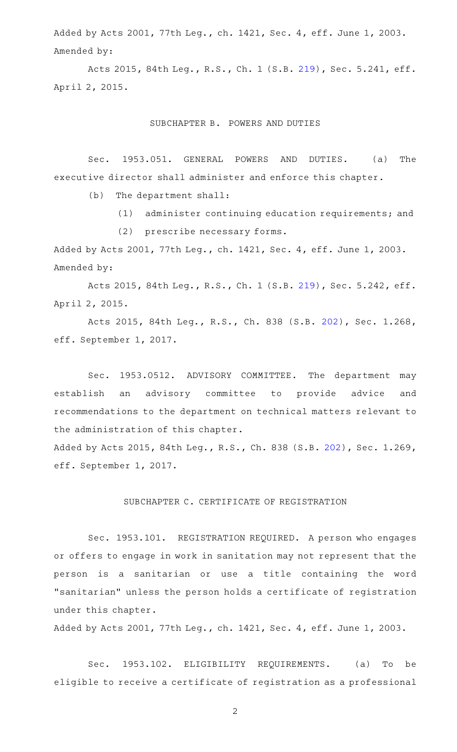Added by Acts 2001, 77th Leg., ch. 1421, Sec. 4, eff. June 1, 2003. Amended by:

Acts 2015, 84th Leg., R.S., Ch. 1 (S.B. [219](http://www.legis.state.tx.us/tlodocs/84R/billtext/html/SB00219F.HTM)), Sec. 5.241, eff. April 2, 2015.

SUBCHAPTER B. POWERS AND DUTIES

Sec. 1953.051. GENERAL POWERS AND DUTIES. (a) The executive director shall administer and enforce this chapter.

 $(b)$  The department shall:

(1) administer continuing education requirements; and

(2) prescribe necessary forms.

Added by Acts 2001, 77th Leg., ch. 1421, Sec. 4, eff. June 1, 2003. Amended by:

Acts 2015, 84th Leg., R.S., Ch. 1 (S.B. [219](http://www.legis.state.tx.us/tlodocs/84R/billtext/html/SB00219F.HTM)), Sec. 5.242, eff. April 2, 2015.

Acts 2015, 84th Leg., R.S., Ch. 838 (S.B. [202](http://www.legis.state.tx.us/tlodocs/84R/billtext/html/SB00202F.HTM)), Sec. 1.268, eff. September 1, 2017.

Sec. 1953.0512. ADVISORY COMMITTEE. The department may establish an advisory committee to provide advice and recommendations to the department on technical matters relevant to the administration of this chapter.

Added by Acts 2015, 84th Leg., R.S., Ch. 838 (S.B. [202\)](http://www.legis.state.tx.us/tlodocs/84R/billtext/html/SB00202F.HTM), Sec. 1.269, eff. September 1, 2017.

## SUBCHAPTER C. CERTIFICATE OF REGISTRATION

Sec. 1953.101. REGISTRATION REQUIRED. A person who engages or offers to engage in work in sanitation may not represent that the person is a sanitarian or use a title containing the word "sanitarian" unless the person holds a certificate of registration under this chapter.

Added by Acts 2001, 77th Leg., ch. 1421, Sec. 4, eff. June 1, 2003.

Sec. 1953.102. ELIGIBILITY REQUIREMENTS. (a) To be eligible to receive a certificate of registration as a professional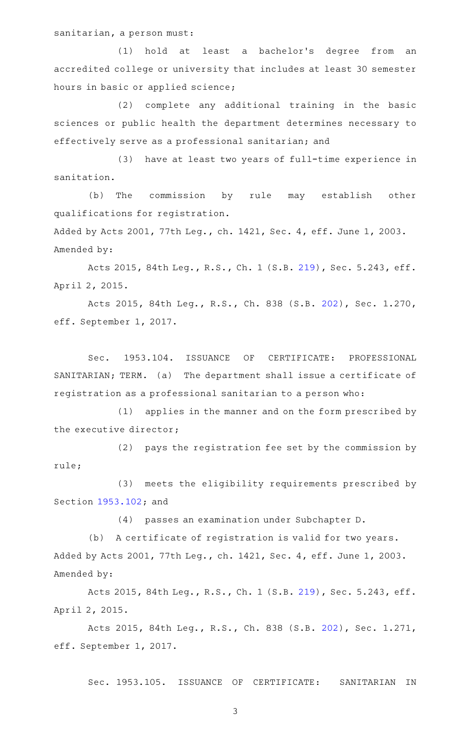sanitarian, a person must:

(1) hold at least a bachelor's degree from an accredited college or university that includes at least 30 semester hours in basic or applied science;

(2) complete any additional training in the basic sciences or public health the department determines necessary to effectively serve as a professional sanitarian; and

(3) have at least two years of full-time experience in sanitation.

(b) The commission by rule may establish other qualifications for registration.

Added by Acts 2001, 77th Leg., ch. 1421, Sec. 4, eff. June 1, 2003. Amended by:

Acts 2015, 84th Leg., R.S., Ch. 1 (S.B. [219](http://www.legis.state.tx.us/tlodocs/84R/billtext/html/SB00219F.HTM)), Sec. 5.243, eff. April 2, 2015.

Acts 2015, 84th Leg., R.S., Ch. 838 (S.B. [202](http://www.legis.state.tx.us/tlodocs/84R/billtext/html/SB00202F.HTM)), Sec. 1.270, eff. September 1, 2017.

Sec. 1953.104. ISSUANCE OF CERTIFICATE: PROFESSIONAL SANITARIAN; TERM. (a) The department shall issue a certificate of registration as a professional sanitarian to a person who:

(1) applies in the manner and on the form prescribed by the executive director;

 $(2)$  pays the registration fee set by the commission by rule;

(3) meets the eligibility requirements prescribed by Section [1953.102](http://www.statutes.legis.state.tx.us/GetStatute.aspx?Code=OC&Value=1953.102); and

(4) passes an examination under Subchapter D.

(b) A certificate of registration is valid for two years. Added by Acts 2001, 77th Leg., ch. 1421, Sec. 4, eff. June 1, 2003. Amended by:

Acts 2015, 84th Leg., R.S., Ch. 1 (S.B. [219](http://www.legis.state.tx.us/tlodocs/84R/billtext/html/SB00219F.HTM)), Sec. 5.243, eff. April 2, 2015.

Acts 2015, 84th Leg., R.S., Ch. 838 (S.B. [202](http://www.legis.state.tx.us/tlodocs/84R/billtext/html/SB00202F.HTM)), Sec. 1.271, eff. September 1, 2017.

Sec. 1953.105. ISSUANCE OF CERTIFICATE: SANITARIAN IN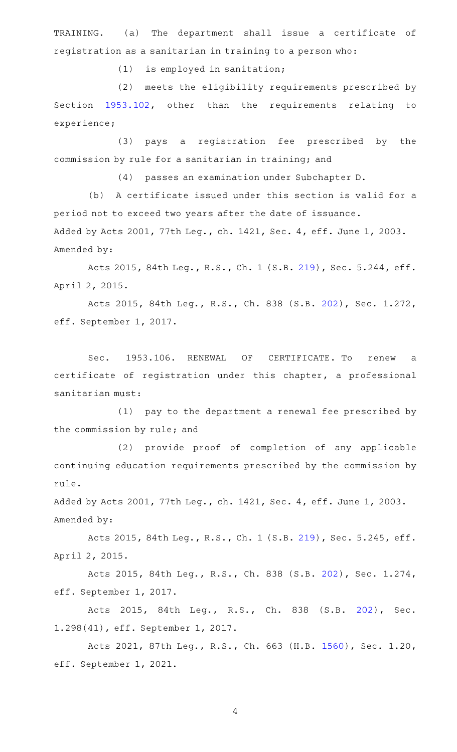TRAINING. (a) The department shall issue a certificate of registration as a sanitarian in training to a person who:

 $(1)$  is employed in sanitation;

(2) meets the eligibility requirements prescribed by Section [1953.102,](http://www.statutes.legis.state.tx.us/GetStatute.aspx?Code=OC&Value=1953.102) other than the requirements relating to experience;

(3) pays a registration fee prescribed by the commission by rule for a sanitarian in training; and

(4) passes an examination under Subchapter D.

(b) A certificate issued under this section is valid for a period not to exceed two years after the date of issuance. Added by Acts 2001, 77th Leg., ch. 1421, Sec. 4, eff. June 1, 2003. Amended by:

Acts 2015, 84th Leg., R.S., Ch. 1 (S.B. [219](http://www.legis.state.tx.us/tlodocs/84R/billtext/html/SB00219F.HTM)), Sec. 5.244, eff. April 2, 2015.

Acts 2015, 84th Leg., R.S., Ch. 838 (S.B. [202](http://www.legis.state.tx.us/tlodocs/84R/billtext/html/SB00202F.HTM)), Sec. 1.272, eff. September 1, 2017.

Sec. 1953.106. RENEWAL OF CERTIFICATE. To renew a certificate of registration under this chapter, a professional sanitarian must:

(1) pay to the department a renewal fee prescribed by the commission by rule; and

(2) provide proof of completion of any applicable continuing education requirements prescribed by the commission by rule.

Added by Acts 2001, 77th Leg., ch. 1421, Sec. 4, eff. June 1, 2003. Amended by:

Acts 2015, 84th Leg., R.S., Ch. 1 (S.B. [219](http://www.legis.state.tx.us/tlodocs/84R/billtext/html/SB00219F.HTM)), Sec. 5.245, eff. April 2, 2015.

Acts 2015, 84th Leg., R.S., Ch. 838 (S.B. [202](http://www.legis.state.tx.us/tlodocs/84R/billtext/html/SB00202F.HTM)), Sec. 1.274, eff. September 1, 2017.

Acts 2015, 84th Leg., R.S., Ch. 838 (S.B. [202\)](http://www.legis.state.tx.us/tlodocs/84R/billtext/html/SB00202F.HTM), Sec. 1.298(41), eff. September 1, 2017.

Acts 2021, 87th Leg., R.S., Ch. 663 (H.B. [1560\)](http://www.legis.state.tx.us/tlodocs/87R/billtext/html/HB01560F.HTM), Sec. 1.20, eff. September 1, 2021.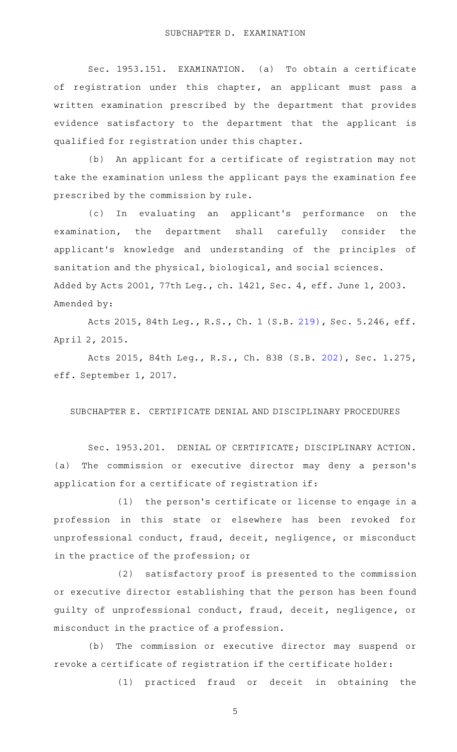Sec. 1953.151. EXAMINATION. (a) To obtain a certificate of registration under this chapter, an applicant must pass a written examination prescribed by the department that provides evidence satisfactory to the department that the applicant is qualified for registration under this chapter.

(b) An applicant for a certificate of registration may not take the examination unless the applicant pays the examination fee prescribed by the commission by rule.

(c) In evaluating an applicant's performance on the examination, the department shall carefully consider the applicant 's knowledge and understanding of the principles of sanitation and the physical, biological, and social sciences. Added by Acts 2001, 77th Leg., ch. 1421, Sec. 4, eff. June 1, 2003. Amended by:

Acts 2015, 84th Leg., R.S., Ch. 1 (S.B. [219](http://www.legis.state.tx.us/tlodocs/84R/billtext/html/SB00219F.HTM)), Sec. 5.246, eff. April 2, 2015.

Acts 2015, 84th Leg., R.S., Ch. 838 (S.B. [202](http://www.legis.state.tx.us/tlodocs/84R/billtext/html/SB00202F.HTM)), Sec. 1.275, eff. September 1, 2017.

SUBCHAPTER E. CERTIFICATE DENIAL AND DISCIPLINARY PROCEDURES

Sec. 1953.201. DENIAL OF CERTIFICATE; DISCIPLINARY ACTION. (a) The commission or executive director may deny a person's application for a certificate of registration if:

 $(1)$  the person's certificate or license to engage in a profession in this state or elsewhere has been revoked for unprofessional conduct, fraud, deceit, negligence, or misconduct in the practice of the profession; or

 $(2)$  satisfactory proof is presented to the commission or executive director establishing that the person has been found guilty of unprofessional conduct, fraud, deceit, negligence, or misconduct in the practice of a profession.

(b) The commission or executive director may suspend or revoke a certificate of registration if the certificate holder:

(1) practiced fraud or deceit in obtaining the